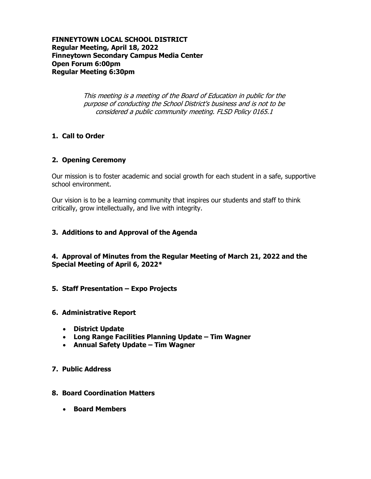### **FINNEYTOWN LOCAL SCHOOL DISTRICT Regular Meeting, April 18, 2022 Finneytown Secondary Campus Media Center Open Forum 6:00pm Regular Meeting 6:30pm**

This meeting is a meeting of the Board of Education in public for the purpose of conducting the School District's business and is not to be considered a public community meeting. FLSD Policy 0165.1

### **1. Call to Order**

### **2. Opening Ceremony**

Our mission is to foster academic and social growth for each student in a safe, supportive school environment.

Our vision is to be a learning community that inspires our students and staff to think critically, grow intellectually, and live with integrity.

### **3. Additions to and Approval of the Agenda**

### **4. Approval of Minutes from the Regular Meeting of March 21, 2022 and the Special Meeting of April 6, 2022\***

**5. Staff Presentation – Expo Projects**

### **6. Administrative Report**

- **District Update**
- **Long Range Facilities Planning Update – Tim Wagner**
- **Annual Safety Update – Tim Wagner**

### **7. Public Address**

### **8. Board Coordination Matters**

**Board Members**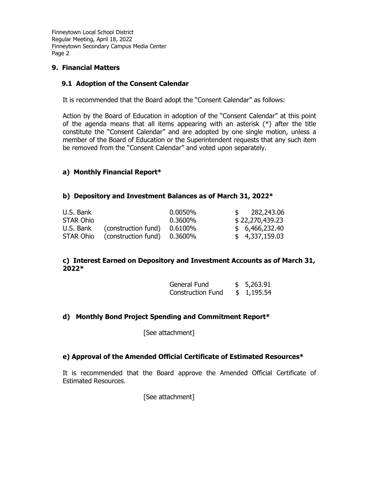### **9. Financial Matters**

### **9.1 Adoption of the Consent Calendar**

It is recommended that the Board adopt the "Consent Calendar" as follows:

Action by the Board of Education in adoption of the "Consent Calendar" at this point of the agenda means that all items appearing with an asterisk (\*) after the title constitute the "Consent Calendar" and are adopted by one single motion, unless a member of the Board of Education or the Superintendent requests that any such item be removed from the "Consent Calendar" and voted upon separately.

### **a) Monthly Financial Report\***

### **b) Depository and Investment Balances as of March 31, 2022\***

| U.S. Bank |                     | 0.0050% | 282,243.06      |
|-----------|---------------------|---------|-----------------|
| STAR Ohio |                     | 0.3600% | \$22,270,439.23 |
| U.S. Bank | (construction fund) | 0.6100% | \$6,466,232.40  |
| STAR Ohio | (construction fund) | 0.3600% | \$4,337,159.03  |

### **c) Interest Earned on Depository and Investment Accounts as of March 31, 2022\***

| General Fund             | \$5,263.91 |
|--------------------------|------------|
| <b>Construction Fund</b> | \$1,195.54 |

### **d) Monthly Bond Project Spending and Commitment Report\***

[See attachment]

### **e) Approval of the Amended Official Certificate of Estimated Resources\***

It is recommended that the Board approve the Amended Official Certificate of Estimated Resources.

[See attachment]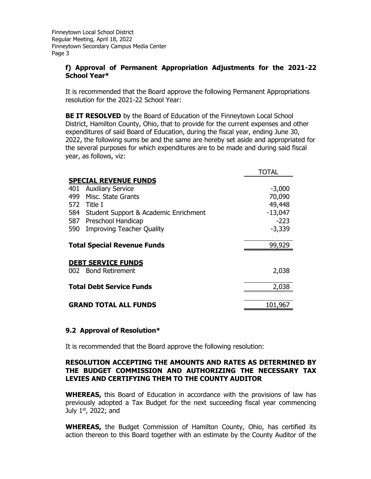### **f) Approval of Permanent Appropriation Adjustments for the 2021-22 School Year\***

It is recommended that the Board approve the following Permanent Appropriations resolution for the 2021-22 School Year:

**BE IT RESOLVED** by the Board of Education of the Finneytown Local School District, Hamilton County, Ohio, that to provide for the current expenses and other expenditures of said Board of Education, during the fiscal year, ending June 30, 2022, the following sums be and the same are hereby set aside and appropriated for the several purposes for which expenditures are to be made and during said fiscal year, as follows, viz:

|      |                                           | TOTAL     |
|------|-------------------------------------------|-----------|
|      | <b>SPECIAL REVENUE FUNDS</b>              |           |
| 401  | <b>Auxiliary Service</b>                  | $-3,000$  |
| 499. | Misc. State Grants                        | 70,090    |
|      | 572 Title I                               | 49,448    |
|      | 584 Student Support & Academic Enrichment | $-13,047$ |
| 587  | Preschool Handicap                        | $-223$    |
| 590  | <b>Improving Teacher Quality</b>          | $-3,339$  |
|      |                                           |           |
|      | <b>Total Special Revenue Funds</b>        | 99,929    |
|      |                                           |           |
|      | <b>DEBT SERVICE FUNDS</b>                 |           |
|      | 002 Bond Retirement                       | 2,038     |
|      |                                           |           |
|      | <b>Total Debt Service Funds</b>           | 2,038     |
|      |                                           |           |
|      | <b>GRAND TOTAL ALL FUNDS</b>              | 101,967   |

### **9.2 Approval of Resolution\***

It is recommended that the Board approve the following resolution:

### **RESOLUTION ACCEPTING THE AMOUNTS AND RATES AS DETERMINED BY THE BUDGET COMMISSION AND AUTHORIZING THE NECESSARY TAX LEVIES AND CERTIFYING THEM TO THE COUNTY AUDITOR**

**WHEREAS,** this Board of Education in accordance with the provisions of law has previously adopted a Tax Budget for the next succeeding fiscal year commencing July  $1<sup>st</sup>$ , 2022; and

**WHEREAS,** the Budget Commission of Hamilton County, Ohio, has certified its action thereon to this Board together with an estimate by the County Auditor of the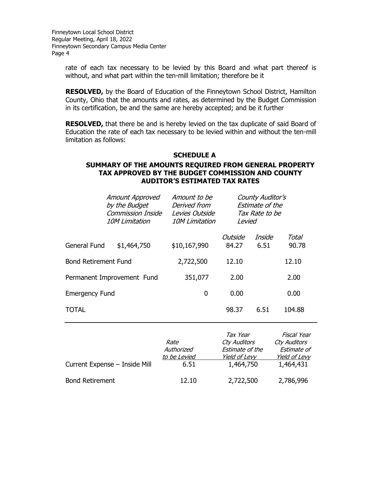> rate of each tax necessary to be levied by this Board and what part thereof is without, and what part within the ten-mill limitation; therefore be it

> **RESOLVED,** by the Board of Education of the Finneytown School District, Hamilton County, Ohio that the amounts and rates, as determined by the Budget Commission in its certification, be and the same are hereby accepted; and be it further

> **RESOLVED,** that there be and is hereby levied on the tax duplicate of said Board of Education the rate of each tax necessary to be levied within and without the ten-mill limitation as follows:

## **SCHEDULE A SUMMARY OF THE AMOUNTS REQUIRED FROM GENERAL PROPERTY TAX APPROVED BY THE BUDGET COMMISSION AND COUNTY AUDITOR'S ESTIMATED TAX RATES**

|                             | <b>Amount Approved</b><br>by the Budget<br><b>Commission Inside</b><br><b>10M Limitation</b> | Amount to be<br>Derived from<br>Levies Outside<br><b>10M Limitation</b> | Levied           | County Auditor's<br>Estimate of the<br>Tax Rate to be |                |
|-----------------------------|----------------------------------------------------------------------------------------------|-------------------------------------------------------------------------|------------------|-------------------------------------------------------|----------------|
| General Fund                | \$1,464,750                                                                                  | \$10,167,990                                                            | Outside<br>84.27 | Inside<br>6.51                                        | Total<br>90.78 |
| <b>Bond Retirement Fund</b> |                                                                                              | 2,722,500                                                               | 12.10            |                                                       | 12.10          |
|                             | Permanent Improvement Fund                                                                   | 351,077                                                                 | 2.00             |                                                       | 2.00           |
| <b>Emergency Fund</b>       |                                                                                              | 0                                                                       | 0.00             |                                                       | 0.00           |
| TOTAL                       |                                                                                              |                                                                         | 98.37            | 6.51                                                  | 104.88         |
|                             |                                                                                              |                                                                         |                  |                                                       |                |

|                               | Rate<br>Authorized<br>to be Levied | Tax Year<br>Cty Auditors<br>Estimate of the<br><b>Yield of Levy</b> | Fiscal Year<br>Cty Auditors<br>Estimate of<br><b>Yield of Levy</b> |
|-------------------------------|------------------------------------|---------------------------------------------------------------------|--------------------------------------------------------------------|
| Current Expense - Inside Mill | 6.51                               | 1,464,750                                                           | 1,464,431                                                          |
| <b>Bond Retirement</b>        | 12.10                              | 2,722,500                                                           | 2,786,996                                                          |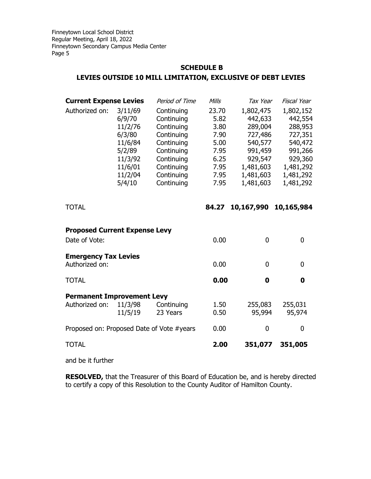# **SCHEDULE B LEVIES OUTSIDE 10 MILL LIMITATION, EXCLUSIVE OF DEBT LEVIES**

| <b>Current Expense Levies</b>                         |                                                                                                        | Period of Time                                                                                                                           | Mills                                                                         | Tax Year                                                                                                           | Fiscal Year                                                                                                        |
|-------------------------------------------------------|--------------------------------------------------------------------------------------------------------|------------------------------------------------------------------------------------------------------------------------------------------|-------------------------------------------------------------------------------|--------------------------------------------------------------------------------------------------------------------|--------------------------------------------------------------------------------------------------------------------|
| Authorized on:                                        | 3/11/69<br>6/9/70<br>11/2/76<br>6/3/80<br>11/6/84<br>5/2/89<br>11/3/92<br>11/6/01<br>11/2/04<br>5/4/10 | Continuing<br>Continuing<br>Continuing<br>Continuing<br>Continuing<br>Continuing<br>Continuing<br>Continuing<br>Continuing<br>Continuing | 23.70<br>5.82<br>3.80<br>7.90<br>5.00<br>7.95<br>6.25<br>7.95<br>7.95<br>7.95 | 1,802,475<br>442,633<br>289,004<br>727,486<br>540,577<br>991,459<br>929,547<br>1,481,603<br>1,481,603<br>1,481,603 | 1,802,152<br>442,554<br>288,953<br>727,351<br>540,472<br>991,266<br>929,360<br>1,481,292<br>1,481,292<br>1,481,292 |
| <b>TOTAL</b>                                          |                                                                                                        |                                                                                                                                          | 84.27                                                                         | 10,167,990                                                                                                         | 10,165,984                                                                                                         |
| <b>Proposed Current Expense Levy</b><br>Date of Vote: |                                                                                                        |                                                                                                                                          | 0.00                                                                          | $\mathbf 0$                                                                                                        | 0                                                                                                                  |
| <b>Emergency Tax Levies</b><br>Authorized on:         |                                                                                                        |                                                                                                                                          | 0.00                                                                          | 0                                                                                                                  | 0                                                                                                                  |
| <b>TOTAL</b>                                          |                                                                                                        |                                                                                                                                          | 0.00                                                                          | $\bf{0}$                                                                                                           | 0                                                                                                                  |
| <b>Permanent Improvement Levy</b><br>Authorized on:   | 11/3/98<br>11/5/19                                                                                     | Continuing<br>23 Years                                                                                                                   | 1.50<br>0.50                                                                  | 255,083<br>95,994                                                                                                  | 255,031<br>95,974                                                                                                  |
| Proposed on: Proposed Date of Vote #years             |                                                                                                        |                                                                                                                                          | 0.00                                                                          | $\boldsymbol{0}$                                                                                                   | 0                                                                                                                  |
| <b>TOTAL</b>                                          |                                                                                                        |                                                                                                                                          | 2.00                                                                          | 351,077                                                                                                            | 351,005                                                                                                            |

and be it further

**RESOLVED,** that the Treasurer of this Board of Education be, and is hereby directed to certify a copy of this Resolution to the County Auditor of Hamilton County.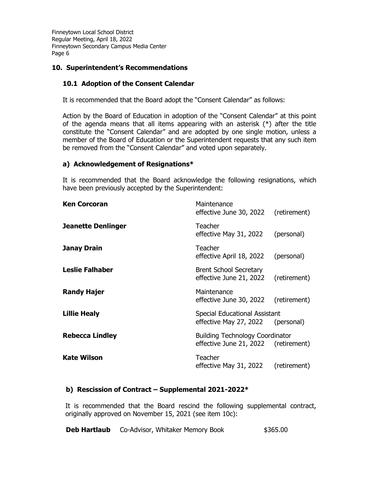### **10. Superintendent's Recommendations**

### **10.1 Adoption of the Consent Calendar**

It is recommended that the Board adopt the "Consent Calendar" as follows:

Action by the Board of Education in adoption of the "Consent Calendar" at this point of the agenda means that all items appearing with an asterisk (\*) after the title constitute the "Consent Calendar" and are adopted by one single motion, unless a member of the Board of Education or the Superintendent requests that any such item be removed from the "Consent Calendar" and voted upon separately.

### **a) Acknowledgement of Resignations\***

It is recommended that the Board acknowledge the following resignations, which have been previously accepted by the Superintendent:

| <b>Ken Corcoran</b>       | Maintenance<br>effective June 30, 2022 (retirement)                            |            |
|---------------------------|--------------------------------------------------------------------------------|------------|
| <b>Jeanette Denlinger</b> | <b>Teacher</b><br>effective May 31, 2022                                       | (personal) |
| <b>Janay Drain</b>        | Teacher<br>effective April 18, 2022 (personal)                                 |            |
| <b>Leslie Falhaber</b>    | <b>Brent School Secretary</b><br>effective June 21, 2022 (retirement)          |            |
| <b>Randy Hajer</b>        | Maintenance<br>effective June 30, 2022 (retirement)                            |            |
| <b>Lillie Healy</b>       | <b>Special Educational Assistant</b><br>effective May 27, 2022 (personal)      |            |
| <b>Rebecca Lindley</b>    | <b>Building Technology Coordinator</b><br>effective June 21, 2022 (retirement) |            |
| Kate Wilson               | Teacher<br>effective May 31, 2022 (retirement)                                 |            |

### **b) Rescission of Contract – Supplemental 2021-2022\***

It is recommended that the Board rescind the following supplemental contract, originally approved on November 15, 2021 (see item 10c):

| Deb Hartlaub |  | Co-Advisor, Whitaker Memory Book | \$365.00 |
|--------------|--|----------------------------------|----------|
|--------------|--|----------------------------------|----------|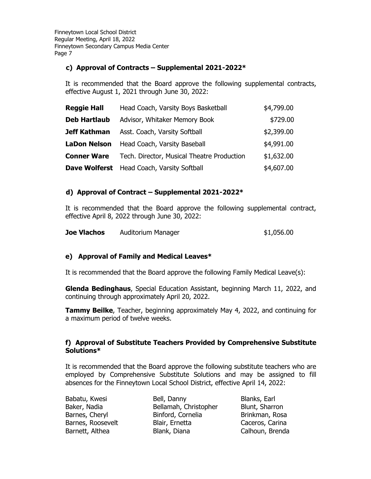## **c) Approval of Contracts – Supplemental 2021-2022\***

It is recommended that the Board approve the following supplemental contracts, effective August 1, 2021 through June 30, 2022:

| <b>Reggie Hall</b>  | Head Coach, Varsity Boys Basketball               | \$4,799.00 |
|---------------------|---------------------------------------------------|------------|
| <b>Deb Hartlaub</b> | Advisor, Whitaker Memory Book                     | \$729.00   |
| Jeff Kathman        | Asst. Coach, Varsity Softball                     | \$2,399.00 |
| <b>LaDon Nelson</b> | Head Coach, Varsity Baseball                      | \$4,991.00 |
| <b>Conner Ware</b>  | Tech. Director, Musical Theatre Production        | \$1,632.00 |
|                     | <b>Dave Wolferst</b> Head Coach, Varsity Softball | \$4,607.00 |

# **d) Approval of Contract – Supplemental 2021-2022\***

It is recommended that the Board approve the following supplemental contract, effective April 8, 2022 through June 30, 2022:

| <b>Joe Vlachos</b><br>Auditorium Manager | \$1,056.00 |
|------------------------------------------|------------|
|------------------------------------------|------------|

# **e) Approval of Family and Medical Leaves\***

It is recommended that the Board approve the following Family Medical Leave(s):

**Glenda Bedinghaus**, Special Education Assistant, beginning March 11, 2022, and continuing through approximately April 20, 2022.

**Tammy Beilke**, Teacher, beginning approximately May 4, 2022, and continuing for a maximum period of twelve weeks.

### **f) Approval of Substitute Teachers Provided by Comprehensive Substitute Solutions\***

It is recommended that the Board approve the following substitute teachers who are employed by Comprehensive Substitute Solutions and may be assigned to fill absences for the Finneytown Local School District, effective April 14, 2022:

| Babatu, Kwesi     | Bell, Danny           | Blanks, Earl    |
|-------------------|-----------------------|-----------------|
| Baker, Nadia      | Bellamah, Christopher | Blunt, Sharron  |
| Barnes, Cheryl    | Binford, Cornelia     | Brinkman, Rosa  |
| Barnes, Roosevelt | Blair, Ernetta        | Caceros, Carina |
| Barnett, Althea   | Blank, Diana          | Calhoun, Brenda |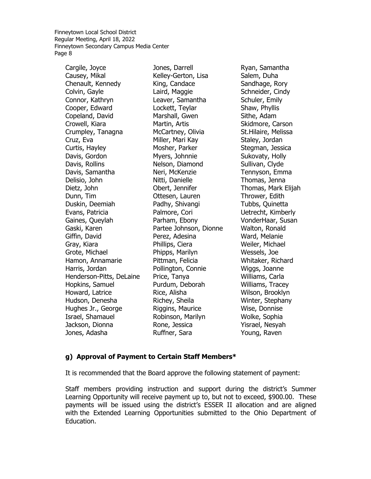Cargile, Joyce Causey, Mikal Chenault, Kennedy Colvin, Gayle Connor, Kathryn Cooper, Edward Copeland, David Crowell, Kiara Crumpley, Tanagna Cruz, Eva Curtis, Hayley Davis, Gordon Davis, Rollins Davis, Samantha Delisio, John Dietz, John Dunn, Tim Duskin, Deemiah Evans, Patricia Gaines, Queylah Gaski, Karen Giffin, David Gray, Kiara Grote, Michael Hamon, Annamarie Harris, Jordan Henderson-Pitts, DeLaine Hopkins, Samuel Howard, Latrice Hudson, Denesha Hughes Jr., George Israel, Shamauel Jackson, Dionna Jones, Adasha

Jones, Darrell Kelley-Gerton, Lisa King, Candace Laird, Maggie Leaver, Samantha Lockett, Teylar Marshall, Gwen Martin, Artis McCartney, Olivia Miller, Mari Kay Mosher, Parker Myers, Johnnie Nelson, Diamond Neri, McKenzie Nitti, Danielle Obert, Jennifer Ottesen, Lauren Padhy, Shivangi Palmore, Cori Parham, Ebony Partee Johnson, Dionne Perez, Adesina Phillips, Ciera Phipps, Marilyn Pittman, Felicia Pollington, Connie Price, Tanya Purdum, Deborah Rice, Alisha Richey, Sheila Riggins, Maurice Robinson, Marilyn Rone, Jessica Ruffner, Sara

Ryan, Samantha Salem, Duha Sandhage, Rory Schneider, Cindy Schuler, Emily Shaw, Phyllis Sithe, Adam Skidmore, Carson St.Hilaire, Melissa Staley, Jordan Stegman, Jessica Sukovaty, Holly Sullivan, Clyde Tennyson, Emma Thomas, Jenna Thomas, Mark Elijah Thrower, Edith Tubbs, Quinetta Uetrecht, Kimberly VonderHaar, Susan Walton, Ronald Ward, Melanie Weiler, Michael Wessels, Joe Whitaker, Richard Wiggs, Joanne Williams, Carla Williams, Tracey Wilson, Brooklyn Winter, Stephany Wise, Donnise Wolke, Sophia Yisrael, Nesyah Young, Raven

#### **g) Approval of Payment to Certain Staff Members\***

It is recommended that the Board approve the following statement of payment:

Staff members providing instruction and support during the district's Summer Learning Opportunity will receive payment up to, but not to exceed, \$900.00. These payments will be issued using the district's ESSER II allocation and are aligned with the Extended Learning Opportunities submitted to the Ohio Department of Education.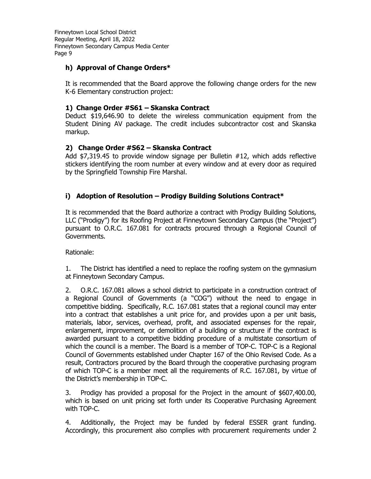# **h) Approval of Change Orders\***

It is recommended that the Board approve the following change orders for the new K-6 Elementary construction project:

### **1) Change Order #S61 – Skanska Contract**

Deduct \$19,646.90 to delete the wireless communication equipment from the Student Dining AV package. The credit includes subcontractor cost and Skanska markup.

# **2) Change Order #S62 – Skanska Contract**

Add \$7,319.45 to provide window signage per Bulletin #12, which adds reflective stickers identifying the room number at every window and at every door as required by the Springfield Township Fire Marshal.

# **i) Adoption of Resolution – Prodigy Building Solutions Contract\***

It is recommended that the Board authorize a contract with Prodigy Building Solutions, LLC ("Prodigy") for its Roofing Project at Finneytown Secondary Campus (the "Project") pursuant to O.R.C. 167.081 for contracts procured through a Regional Council of Governments.

Rationale:

1. The District has identified a need to replace the roofing system on the gymnasium at Finneytown Secondary Campus.

2. O.R.C. 167.081 allows a school district to participate in a construction contract of a Regional Council of Governments (a "COG") without the need to engage in competitive bidding. Specifically, R.C. 167.081 states that a regional council may enter into a contract that establishes a unit price for, and provides upon a per unit basis, materials, labor, services, overhead, profit, and associated expenses for the repair, enlargement, improvement, or demolition of a building or structure if the contract is awarded pursuant to a competitive bidding procedure of a multistate consortium of which the council is a member. The Board is a member of TOP-C. TOP-C is a Regional Council of Governments established under Chapter 167 of the Ohio Revised Code. As a result, Contractors procured by the Board through the cooperative purchasing program of which TOP-C is a member meet all the requirements of R.C. 167.081, by virtue of the District's membership in TOP-C.

3. Prodigy has provided a proposal for the Project in the amount of \$607,400.00, which is based on unit pricing set forth under its Cooperative Purchasing Agreement with TOP-C.

4. Additionally, the Project may be funded by federal ESSER grant funding. Accordingly, this procurement also complies with procurement requirements under 2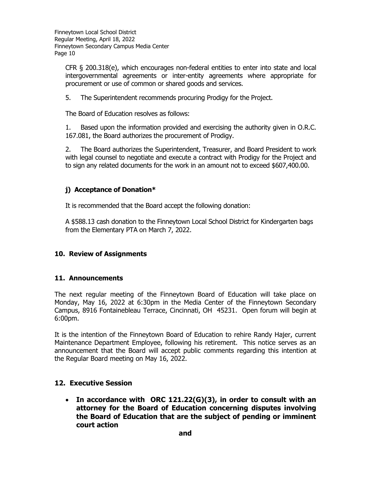CFR § 200.318(e), which encourages non-federal entities to enter into state and local intergovernmental agreements or inter-entity agreements where appropriate for procurement or use of common or shared goods and services.

5. The Superintendent recommends procuring Prodigy for the Project.

The Board of Education resolves as follows:

1. Based upon the information provided and exercising the authority given in O.R.C. 167.081, the Board authorizes the procurement of Prodigy.

2. The Board authorizes the Superintendent, Treasurer, and Board President to work with legal counsel to negotiate and execute a contract with Prodigy for the Project and to sign any related documents for the work in an amount not to exceed \$607,400.00.

# **j) Acceptance of Donation\***

It is recommended that the Board accept the following donation:

A \$588.13 cash donation to the Finneytown Local School District for Kindergarten bags from the Elementary PTA on March 7, 2022.

### **10. Review of Assignments**

### **11. Announcements**

The next regular meeting of the Finneytown Board of Education will take place on Monday, May 16, 2022 at 6:30pm in the Media Center of the Finneytown Secondary Campus, 8916 Fontainebleau Terrace, Cincinnati, OH 45231. Open forum will begin at 6:00pm.

It is the intention of the Finneytown Board of Education to rehire Randy Hajer, current Maintenance Department Employee, following his retirement. This notice serves as an announcement that the Board will accept public comments regarding this intention at the Regular Board meeting on May 16, 2022.

### **12. Executive Session**

 **In accordance with ORC 121.22(G)(3), in order to consult with an attorney for the Board of Education concerning disputes involving the Board of Education that are the subject of pending or imminent court action**